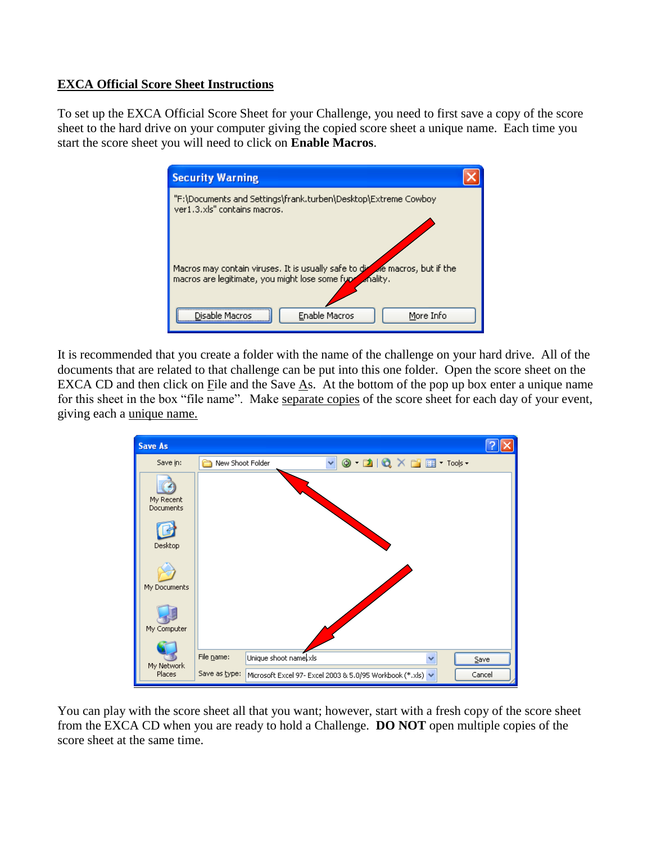## **EXCA Official Score Sheet Instructions**

To set up the EXCA Official Score Sheet for your Challenge, you need to first save a copy of the score sheet to the hard drive on your computer giving the copied score sheet a unique name. Each time you start the score sheet you will need to click on **Enable Macros**.



It is recommended that you create a folder with the name of the challenge on your hard drive. All of the documents that are related to that challenge can be put into this one folder. Open the score sheet on the EXCA CD and then click on File and the Save As. At the bottom of the pop up box enter a unique name for this sheet in the box "file name". Make separate copies of the score sheet for each day of your event, giving each a unique name.



You can play with the score sheet all that you want; however, start with a fresh copy of the score sheet from the EXCA CD when you are ready to hold a Challenge. **DO NOT** open multiple copies of the score sheet at the same time.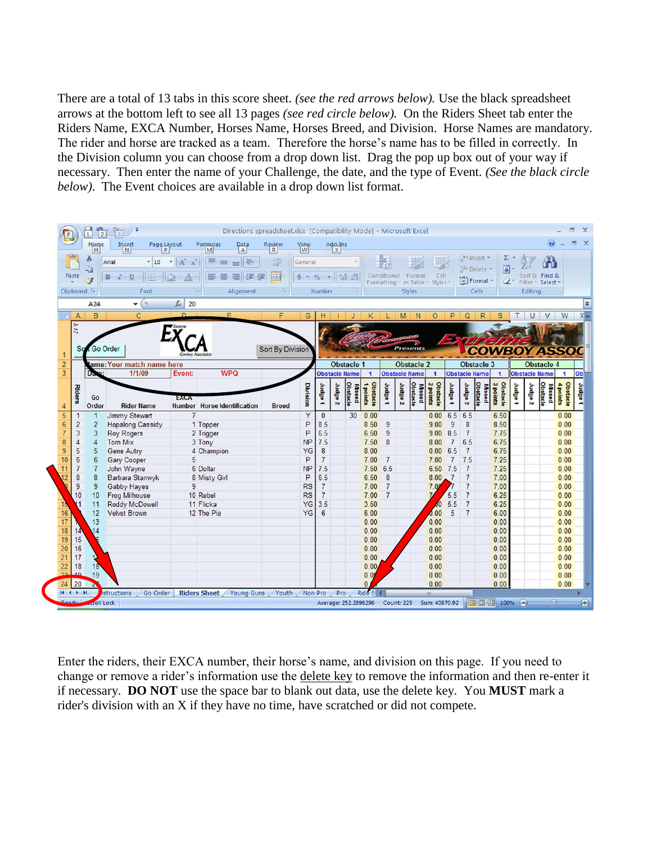There are a total of 13 tabs in this score sheet. *(see the red arrows below).* Use the black spreadsheet arrows at the bottom left to see all 13 pages *(see red circle below).* On the Riders Sheet tab enter the Riders Name, EXCA Number, Horses Name, Horses Breed, and Division. Horse Names are mandatory. The rider and horse are tracked as a team. Therefore the horse's name has to be filled in correctly. In the Division column you can choose from a drop down list. Drag the pop up box out of your way if necessary. Then enter the name of your Challenge, the date, and the type of Event. *(See the black circle below)*. The Event choices are available in a drop down list format.



Enter the riders, their EXCA number, their horse's name, and division on this page. If you need to change or remove a rider's information use the delete key to remove the information and then re-enter it if necessary. **DO NOT** use the space bar to blank out data, use the delete key. You **MUST** mark a rider's division with an X if they have no time, have scratched or did not compete.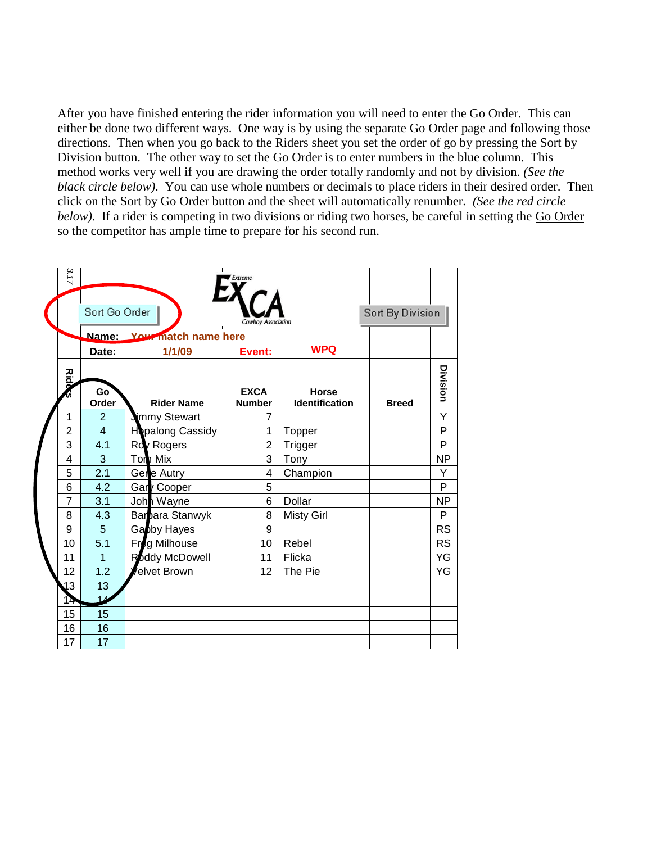After you have finished entering the rider information you will need to enter the Go Order. This can either be done two different ways. One way is by using the separate Go Order page and following those directions. Then when you go back to the Riders sheet you set the order of go by pressing the Sort by Division button. The other way to set the Go Order is to enter numbers in the blue column. This method works very well if you are drawing the order totally randomly and not by division. *(See the black circle below)*. You can use whole numbers or decimals to place riders in their desired order. Then click on the Sort by Go Order button and the sheet will automatically renumber. *(See the red circle below*). If a rider is competing in two divisions or riding two horses, be careful in setting the Go Order so the competitor has ample time to prepare for his second run.

| 3.17           |                |                            | Extreme                      |                                |                  |           |
|----------------|----------------|----------------------------|------------------------------|--------------------------------|------------------|-----------|
|                | Sort Go Order  |                            | <b>Cowboy Association</b>    |                                | Sort By Division |           |
|                |                | Name: Your match name here |                              |                                |                  |           |
|                | Date:          | 1/1/09                     | Event:                       | <b>WPQ</b>                     |                  |           |
| <b>Rida</b>    | Go<br>Order    | <b>Rider Name</b>          | <b>EXCA</b><br><b>Number</b> | <b>Horse</b><br>Identification | <b>Breed</b>     | Division  |
| 1              | $\overline{2}$ | immy Stewart               | 7                            |                                |                  | Y         |
| $\overline{2}$ | $\overline{4}$ | Hopalong Cassidy           | 1                            | <b>Topper</b>                  |                  | P         |
| 3              | 4.1            | Roy Rogers                 | $\overline{2}$               | Trigger                        |                  | P         |
| 4              | 3              | Tom Mix                    | 3                            | Tony                           |                  | <b>NP</b> |
| 5              | 2.1            | Gere Autry                 | 4                            | Champion                       |                  | Y         |
| 6              | 4.2            | Gary Cooper                | 5                            |                                |                  | P         |
| $\overline{7}$ | 3.1            | John Wayne                 | 6                            | Dollar                         |                  | <b>NP</b> |
| 8              | 4.3            | Bara Stanwyk               | 8                            | <b>Misty Girl</b>              |                  | P         |
| 9              | 5              | Gabby Hayes                | 9                            |                                |                  | <b>RS</b> |
| 10             | 5.1            | Frog Milhouse              | 10                           | Rebel                          |                  | <b>RS</b> |
| 11             | $\overline{1}$ | <b>Roddy McDowell</b>      | 11                           | Flicka                         |                  | YG        |
| 12             | 1.2            | elvet Brown                | 12                           | The Pie                        |                  | YG        |
| 13             | 13             |                            |                              |                                |                  |           |
| 14             | 14             |                            |                              |                                |                  |           |
| 15             | 15             |                            |                              |                                |                  |           |
| 16             | 16             |                            |                              |                                |                  |           |
| 17             | 17             |                            |                              |                                |                  |           |
|                |                |                            |                              |                                |                  |           |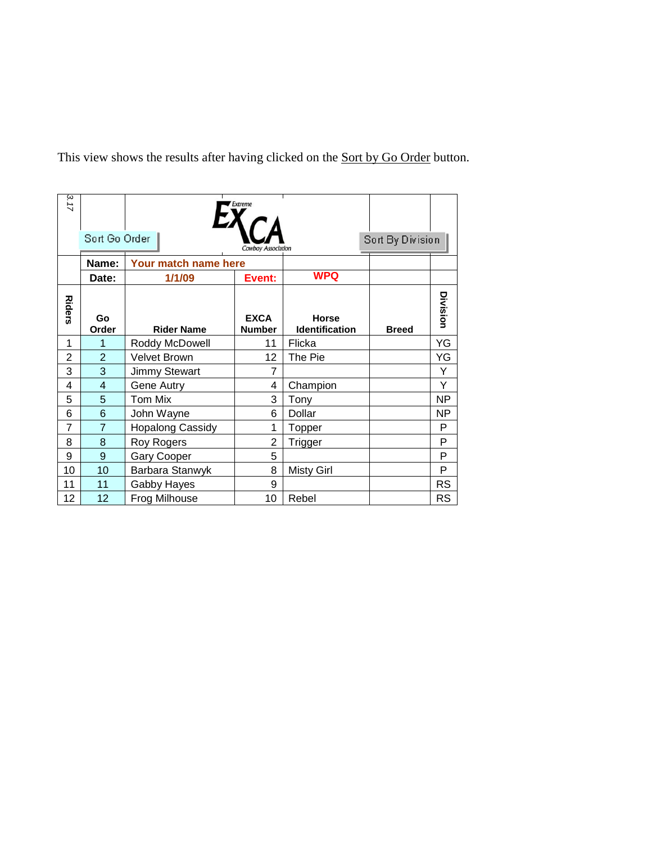This view shows the results after having clicked on the **Sort by Go Order** button.

| 3.17           | Sort Go Order  |                         |                              |                                       | Sort By Division |           |
|----------------|----------------|-------------------------|------------------------------|---------------------------------------|------------------|-----------|
|                | Name:          | Your match name here    | <b>Cowboy Association</b>    |                                       |                  |           |
|                | Date:          | 1/1/09                  | Event:                       | <b>WPQ</b>                            |                  |           |
| <b>Riders</b>  | Go<br>Order    | <b>Rider Name</b>       | <b>EXCA</b><br><b>Number</b> | <b>Horse</b><br><b>Identification</b> | <b>Breed</b>     | Division  |
| 1              | 1              | Roddy McDowell          | 11                           | Flicka                                |                  | YG        |
| $\overline{2}$ | $\overline{2}$ | <b>Velvet Brown</b>     | 12                           | The Pie                               |                  | YG        |
| 3              | 3              | <b>Jimmy Stewart</b>    | 7                            |                                       |                  | Y         |
| 4              | $\overline{4}$ | Gene Autry              | 4                            | Champion                              |                  | Υ         |
| 5              | 5              | Tom Mix                 | 3                            | Tony                                  |                  | <b>NP</b> |
| 6              | 6              | John Wayne              | 6                            | Dollar                                |                  | <b>NP</b> |
| $\overline{7}$ | $\overline{7}$ | <b>Hopalong Cassidy</b> | 1                            | Topper                                |                  | P         |
| 8              | 8              | Roy Rogers              | $\overline{2}$               | Trigger                               |                  | P         |
| 9              | 9              | Gary Cooper             | 5                            |                                       |                  | P         |
| 10             | 10             | Barbara Stanwyk         | 8                            | <b>Misty Girl</b>                     |                  | P         |
| 11             | 11             | Gabby Hayes             | 9                            |                                       |                  | <b>RS</b> |
| 12             | 12             | Frog Milhouse           | 10                           | Rebel                                 |                  | <b>RS</b> |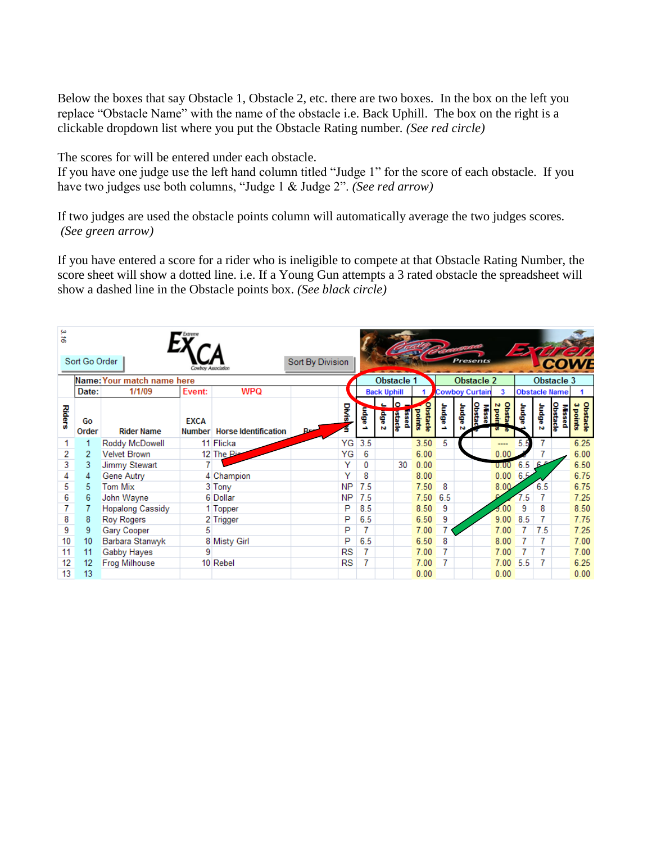Below the boxes that say Obstacle 1, Obstacle 2, etc. there are two boxes. In the box on the left you replace "Obstacle Name" with the name of the obstacle i.e. Back Uphill. The box on the right is a clickable dropdown list where you put the Obstacle Rating number. *(See red circle)* 

The scores for will be entered under each obstacle.

If you have one judge use the left hand column titled "Judge 1" for the score of each obstacle. If you have two judges use both columns, "Judge 1 & Judge 2". *(See red arrow)*

If two judges are used the obstacle points column will automatically average the two judges scores. *(See green arrow)*

If you have entered a score for a rider who is ineligible to compete at that Obstacle Rating Number, the score sheet will show a dotted line. i.e. If a Young Gun attempts a 3 rated obstacle the spreadsheet will show a dashed line in the Obstacle points box. *(See black circle)*

| ω<br>ă,       |               |                            |                    |                             |                     |     |                    |                        |                    |        |       |                       |                 | <b>Ly</b> |                      |                           |                      |
|---------------|---------------|----------------------------|--------------------|-----------------------------|---------------------|-----|--------------------|------------------------|--------------------|--------|-------|-----------------------|-----------------|-----------|----------------------|---------------------------|----------------------|
|               | Sort Go Order |                            | Cowboy Association |                             | Sort By Division    |     |                    |                        |                    |        |       | Presents              |                 |           |                      |                           |                      |
|               |               | Name: Your match name here |                    |                             |                     |     | <b>Obstacle 1</b>  |                        |                    |        |       | <b>Obstacle 2</b>     |                 |           |                      | Obstacle 3                |                      |
|               | Date:         | 1/1/09                     | Event:             | <b>WPQ</b>                  |                     |     | <b>Back Uphill</b> |                        |                    |        |       | <b>Cowboy Curtain</b> | 3               |           | <b>Obstacle Name</b> |                           |                      |
| <b>Riders</b> | Go<br>Order   | <b>Rider Name</b>          | <b>EXCA</b>        | Number Horse Identification | Divis<br><b>Pre</b> | 튭   | ē<br>ю             | <b>Stacie</b><br>passi | bstracte<br>points | afipny | ofpnr | Obstac<br>ğ,          | chsta<br>2 poir | aßpnr     | adpnr<br>ю           | Obstacle<br><b>Missoc</b> | Obstacle<br>3 points |
|               |               | Roddy McDowell             |                    | 11 Flicka                   | YG                  | 3.5 |                    |                        | 3.50               | 5      |       |                       | ----            | 5         |                      |                           | 6.25                 |
| 2             | 2             | <b>Velvet Brown</b>        |                    | 12 The Pie                  | YG                  | 6   |                    |                        | 6.00               |        |       |                       | 0.00            |           |                      |                           | 6.00                 |
| 3             | 3             | Jimmy Stewart              |                    |                             | Y                   | 0   |                    | 30                     | 0.00               |        |       |                       | 0.00            | 6.5       | -6                   |                           | 6.50                 |
| 4             | 4             | Gene Autry                 |                    | 4 Champion                  | Y                   | 8   |                    |                        | 8.00               |        |       |                       | 0.00            | 6.5       |                      |                           | 6.75                 |
| 5             | 5             | <b>Tom Mix</b>             |                    | 3 Tony                      | <b>NP</b>           | 7.5 |                    |                        | 7.50               | 8      |       |                       | 8.00.           |           | 6.5                  |                           | 6.75                 |
| 6             | 6             | John Wayne                 |                    | 6 Dollar                    | <b>NP</b>           | 7.5 |                    |                        | 7.50               | 6.5    |       |                       |                 | 5         |                      |                           | 7.25                 |
| 7             |               | <b>Hopalong Cassidy</b>    |                    | 1 Topper                    | P                   | 8.5 |                    |                        | 8.50               | 9      |       |                       | $-9.00$         | 9         | 8                    |                           | 8.50                 |
| 8             | 8             | <b>Roy Rogers</b>          |                    | 2 Trigger                   | P                   | 6.5 |                    |                        | 6.50               | 9      |       |                       | 9.00            | 8.5       |                      |                           | 7.75                 |
| 9             | 9             | Gary Cooper                | 5                  |                             | P                   | 7   |                    |                        | 7.00               |        |       |                       | 7.00            |           | 7.5                  |                           | 7.25                 |
| 10            | 10            | Barbara Stanwyk            |                    | 8 Misty Girl                | P                   | 6.5 |                    |                        | 6.50               | 8      |       |                       | 8.00            |           | 7                    |                           | 7.00                 |
| 11            | 11            | Gabby Hayes                | 9                  |                             | RS                  | 7   |                    |                        | 7.00               | 7      |       |                       | 7.00            |           | 7                    |                           | 7.00                 |
| 12            | 12            | <b>Frog Milhouse</b>       |                    | 10 Rebel                    | RS                  | 7   |                    |                        | 7.00               |        |       |                       | 7.00            | 5.5       | 7                    |                           | 6.25                 |
| 13            | 13            |                            |                    |                             |                     |     |                    |                        | 0.00               |        |       |                       | 0.00            |           |                      |                           | 0.00                 |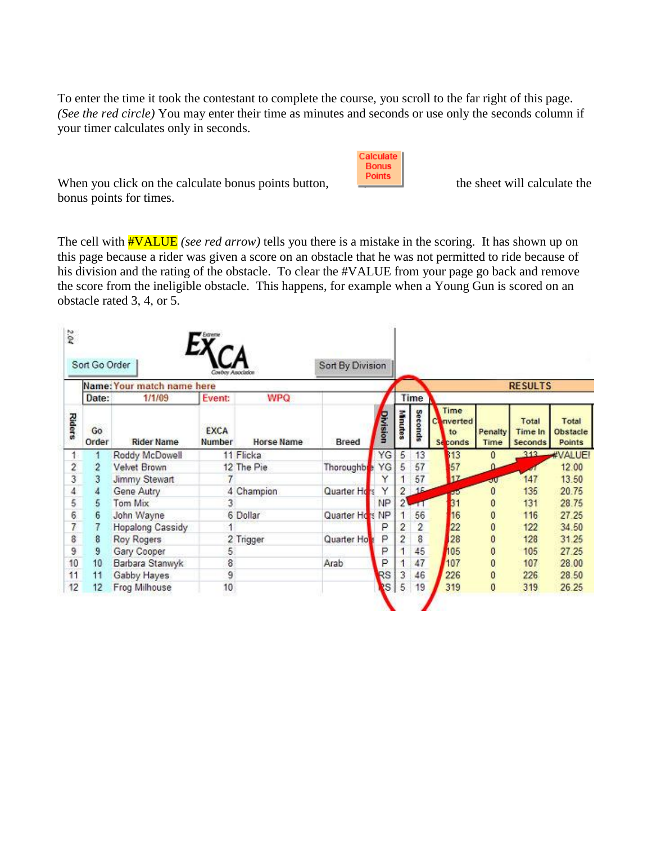To enter the time it took the contestant to complete the course, you scroll to the far right of this page. *(See the red circle)* You may enter their time as minutes and seconds or use only the seconds column if your timer calculates only in seconds.

| alculate |  |
|----------|--|
| Bonus    |  |
| nints    |  |
|          |  |

When you click on the calculate bonus points button, the sheet will calculate the bonus points for times.

The cell with #VALUE *(see red arrow)* tells you there is a mistake in the scoring. It has shown up on this page because a rider was given a score on an obstacle that he was not permitted to ride because of his division and the rating of the obstacle. To clear the #VALUE from your page go back and remove the score from the ineligible obstacle. This happens, for example when a Young Gun is scored on an obstacle rated 3, 4, or 5.

|                |             | Sort Go Order<br>Name: Your match name here | <b>Coutley Associates</b> |            | Sort By Division |           |                |                |                                            |                 | <b>RESULTS</b>              |                             |
|----------------|-------------|---------------------------------------------|---------------------------|------------|------------------|-----------|----------------|----------------|--------------------------------------------|-----------------|-----------------------------|-----------------------------|
|                | Date:       | 1/1/09                                      | Event:                    | <b>WPQ</b> |                  |           |                | Time           |                                            |                 |                             |                             |
| <b>Riders</b>  | Go<br>Order | <b>Rider Name</b>                           | <b>EXCA</b><br>Number     | Horse Name | Breed            | Division  | Minutes        | <b>Seconds</b> | Time<br>Converted<br>to.<br><b>Seconds</b> | Penalty<br>Time | Total<br>Time In<br>Seconds | Total<br>Obstacle<br>Points |
| 1.             |             | Roddy McDowell                              |                           | 11 Flicka  |                  | YG        | 5              | 13             | 313                                        | 0               | 313                         | #VALUE!                     |
|                | 2           | <b>Velvet Brown</b>                         |                           | 12 The Pie | Thoroughbre      | YG        | 5              | 57             | 57                                         |                 |                             | 12.00                       |
| $\frac{2}{3}$  | 3           | Jimmy Stewart                               |                           |            |                  | Y         |                | 57             | 17                                         | all             | 147                         | 13.50                       |
| $\overline{4}$ |             | Gene Autry                                  | 4                         | Champion   | Quarter Hors     | Υ         | 2              | 16             | <b>AN</b>                                  | 0               | 135                         | 20.75                       |
| $\frac{5}{6}$  | 5           | Tom Mix                                     |                           |            |                  | <b>NP</b> | 21             |                | 31                                         | 0               | 131                         | 28.75                       |
|                | 6           | John Wayne                                  |                           | 6 Dollar   | Quarter Hors     | NP        |                | 56             | 16                                         | 0               | 116                         | 27.25                       |
| $\overline{t}$ |             | Hopalong Cassidy                            |                           |            |                  | P         | 2              | 2              | 22                                         | 0               | 122                         | 34.50                       |
| 8              | 8           | Roy Rogers                                  |                           | 2 Trigger  | Quarter Ho       | P         | $\overline{2}$ | 8              | 28                                         | 0               | 128                         | 31.25                       |
| 9              | 9           | Gary Cooper                                 | 5                         |            |                  | P         |                | 45             | 105                                        | 0               | 105                         | 27.25                       |
| 10             | 10          | Barbara Stanwyk                             | 8                         |            | Arab             | P         |                | 47             | 107                                        | 0               | 107                         | 28.00                       |
| 11             | 11          | Gabby Hayes                                 | 9                         |            |                  | RS        | 3              | 46             | 226                                        | 0               | 226                         | 28.50                       |
| 12             | 12          | Frog Milhouse                               | 10                        |            |                  | <b>IS</b> | 5              | 19             | 319                                        | 0               | 319                         | 26.25                       |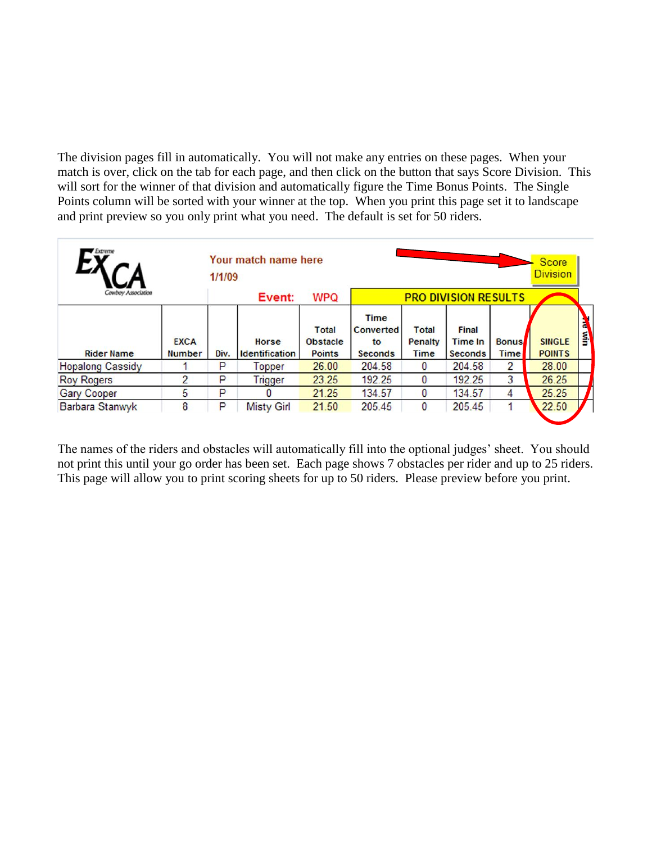The division pages fill in automatically. You will not make any entries on these pages. When your match is over, click on the tab for each page, and then click on the button that says Score Division. This will sort for the winner of that division and automatically figure the Time Bonus Points. The Single Points column will be sorted with your winner at the top. When you print this page set it to landscape and print preview so you only print what you need. The default is set for 50 riders.

| Extreme                 |                              | 1/1/09 | Your match name here           |                                                  |                                                  |                                 |                                           |                             | Score<br><b>Division</b>       |                      |
|-------------------------|------------------------------|--------|--------------------------------|--------------------------------------------------|--------------------------------------------------|---------------------------------|-------------------------------------------|-----------------------------|--------------------------------|----------------------|
| Cowboy Association      |                              |        | Event:                         | <b>WPQ</b>                                       |                                                  |                                 | <b>PRO DIVISION RESULTS</b>               |                             |                                |                      |
| <b>Rider Name</b>       | <b>EXCA</b><br><b>Number</b> | Div.   | Horse<br><b>Identification</b> | <b>Total</b><br><b>Obstacle</b><br><b>Points</b> | <b>Time</b><br>Converted<br>to<br><b>Seconds</b> | <b>Total</b><br>Penalty<br>Time | Final<br><b>Time In</b><br><b>Seconds</b> | <b>Bonus</b><br><b>Time</b> | <b>SINGLE</b><br><b>POINTS</b> | $\tilde{\mathbf{z}}$ |
| <b>Hopalong Cassidy</b> |                              | P      | <b>Topper</b>                  | 26.00                                            | 204.58                                           | 0                               | 204.58                                    | 2                           | 28.00                          |                      |
| <b>Roy Rogers</b>       |                              | P      | <b>Trigger</b>                 | 23.25                                            | 192.25                                           | 0                               | 192.25                                    | 3                           | 26.25                          |                      |
| <b>Gary Cooper</b>      | 5                            | P      |                                | 21.25                                            | 134.57                                           | 0                               | 134.57                                    | 4                           | 25.25                          |                      |
| Barbara Stanwyk         | 8                            | P      | <b>Misty Girl</b>              | 21.50                                            | 205.45                                           | 0                               | 205.45                                    |                             | 22.50                          |                      |

The names of the riders and obstacles will automatically fill into the optional judges' sheet. You should not print this until your go order has been set. Each page shows 7 obstacles per rider and up to 25 riders. This page will allow you to print scoring sheets for up to 50 riders. Please preview before you print.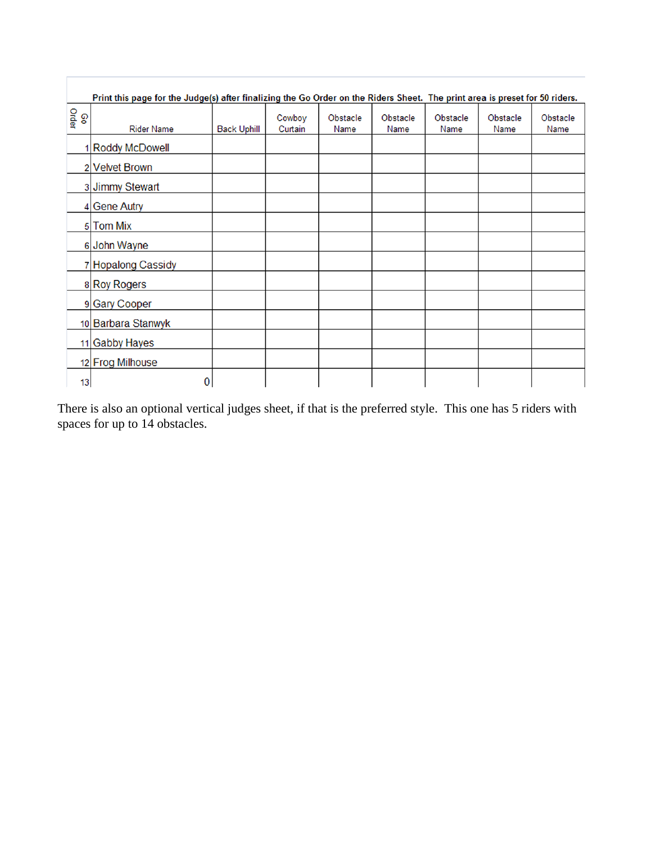|              | Print this page for the Judge(s) after finalizing the Go Order on the Riders Sheet. The print area is preset for 50 riders. |                    |                   |                  |                  |                  |                  |                  |
|--------------|-----------------------------------------------------------------------------------------------------------------------------|--------------------|-------------------|------------------|------------------|------------------|------------------|------------------|
| Order<br>စ္စ | <b>Rider Name</b>                                                                                                           | <b>Back Uphill</b> | Cowboy<br>Curtain | Obstacle<br>Name | Obstacle<br>Name | Obstacle<br>Name | Obstacle<br>Name | Obstacle<br>Name |
|              | 1 Roddy McDowell                                                                                                            |                    |                   |                  |                  |                  |                  |                  |
|              | 2 Velvet Brown                                                                                                              |                    |                   |                  |                  |                  |                  |                  |
|              | 3 Jimmy Stewart                                                                                                             |                    |                   |                  |                  |                  |                  |                  |
|              | 4 Gene Autry                                                                                                                |                    |                   |                  |                  |                  |                  |                  |
|              | 5 Tom Mix                                                                                                                   |                    |                   |                  |                  |                  |                  |                  |
|              | 6 John Wayne                                                                                                                |                    |                   |                  |                  |                  |                  |                  |
|              | 7 Hopalong Cassidy                                                                                                          |                    |                   |                  |                  |                  |                  |                  |
|              | 8 Roy Rogers                                                                                                                |                    |                   |                  |                  |                  |                  |                  |
|              | 9 Gary Cooper                                                                                                               |                    |                   |                  |                  |                  |                  |                  |
|              | 10 Barbara Stanwyk                                                                                                          |                    |                   |                  |                  |                  |                  |                  |
|              | 11 Gabby Hayes                                                                                                              |                    |                   |                  |                  |                  |                  |                  |
|              | 12 Frog Milhouse                                                                                                            |                    |                   |                  |                  |                  |                  |                  |
| 13           | 0                                                                                                                           |                    |                   |                  |                  |                  |                  |                  |

There is also an optional vertical judges sheet, if that is the preferred style. This one has 5 riders with spaces for up to 14 obstacles.